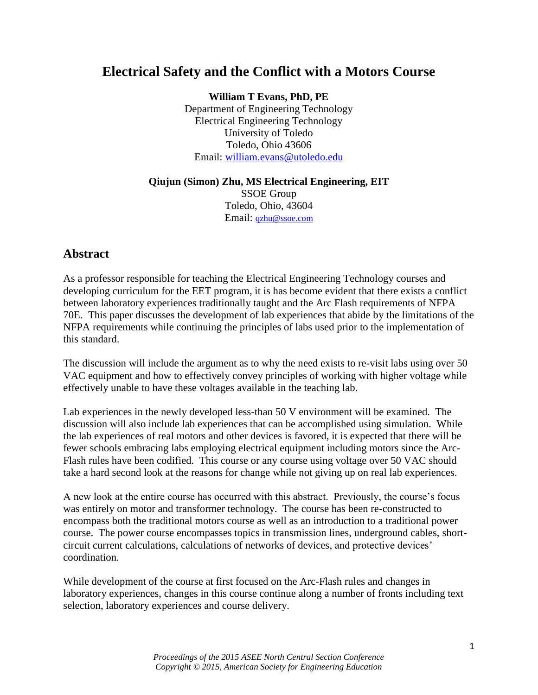# **Electrical Safety and the Conflict with a Motors Course**

**William T Evans, PhD, PE** Department of Engineering Technology Electrical Engineering Technology University of Toledo Toledo, Ohio 43606 Email: [william.evans@utoledo.edu](mailto:william.evans@utoledo.edu)

#### **Qiujun (Simon) Zhu, MS Electrical Engineering, EIT**

SSOE Group Toledo, Ohio, 43604 Email: [qzhu@ssoe.com](mailto:qzhu@ssoe.com)

#### **Abstract**

As a professor responsible for teaching the Electrical Engineering Technology courses and developing curriculum for the EET program, it is has become evident that there exists a conflict between laboratory experiences traditionally taught and the Arc Flash requirements of NFPA 70E. This paper discusses the development of lab experiences that abide by the limitations of the NFPA requirements while continuing the principles of labs used prior to the implementation of this standard.

The discussion will include the argument as to why the need exists to re-visit labs using over 50 VAC equipment and how to effectively convey principles of working with higher voltage while effectively unable to have these voltages available in the teaching lab.

Lab experiences in the newly developed less-than 50 V environment will be examined. The discussion will also include lab experiences that can be accomplished using simulation. While the lab experiences of real motors and other devices is favored, it is expected that there will be fewer schools embracing labs employing electrical equipment including motors since the Arc-Flash rules have been codified. This course or any course using voltage over 50 VAC should take a hard second look at the reasons for change while not giving up on real lab experiences.

A new look at the entire course has occurred with this abstract. Previously, the course's focus was entirely on motor and transformer technology. The course has been re-constructed to encompass both the traditional motors course as well as an introduction to a traditional power course. The power course encompasses topics in transmission lines, underground cables, shortcircuit current calculations, calculations of networks of devices, and protective devices' coordination.

While development of the course at first focused on the Arc-Flash rules and changes in laboratory experiences, changes in this course continue along a number of fronts including text selection, laboratory experiences and course delivery.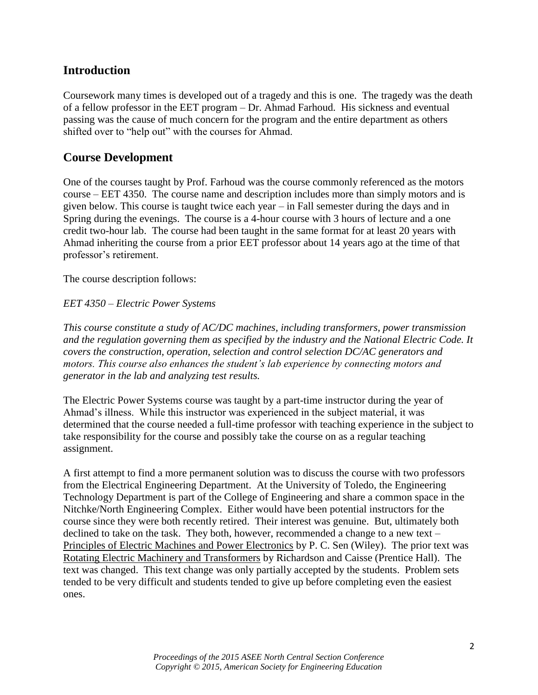#### **Introduction**

Coursework many times is developed out of a tragedy and this is one. The tragedy was the death of a fellow professor in the EET program – Dr. Ahmad Farhoud. His sickness and eventual passing was the cause of much concern for the program and the entire department as others shifted over to "help out" with the courses for Ahmad.

#### **Course Development**

One of the courses taught by Prof. Farhoud was the course commonly referenced as the motors course – EET 4350. The course name and description includes more than simply motors and is given below. This course is taught twice each year – in Fall semester during the days and in Spring during the evenings. The course is a 4-hour course with 3 hours of lecture and a one credit two-hour lab. The course had been taught in the same format for at least 20 years with Ahmad inheriting the course from a prior EET professor about 14 years ago at the time of that professor's retirement.

The course description follows:

#### *EET 4350 – Electric Power Systems*

*This course constitute a study of AC/DC machines, including transformers, power transmission and the regulation governing them as specified by the industry and the National Electric Code. It covers the construction, operation, selection and control selection DC/AC generators and motors. This course also enhances the student's lab experience by connecting motors and generator in the lab and analyzing test results.* 

The Electric Power Systems course was taught by a part-time instructor during the year of Ahmad's illness. While this instructor was experienced in the subject material, it was determined that the course needed a full-time professor with teaching experience in the subject to take responsibility for the course and possibly take the course on as a regular teaching assignment.

A first attempt to find a more permanent solution was to discuss the course with two professors from the Electrical Engineering Department. At the University of Toledo, the Engineering Technology Department is part of the College of Engineering and share a common space in the Nitchke/North Engineering Complex. Either would have been potential instructors for the course since they were both recently retired. Their interest was genuine. But, ultimately both declined to take on the task. They both, however, recommended a change to a new text – Principles of Electric Machines and Power Electronics by P. C. Sen (Wiley). The prior text was Rotating Electric Machinery and Transformers by Richardson and Caisse (Prentice Hall). The text was changed. This text change was only partially accepted by the students. Problem sets tended to be very difficult and students tended to give up before completing even the easiest ones.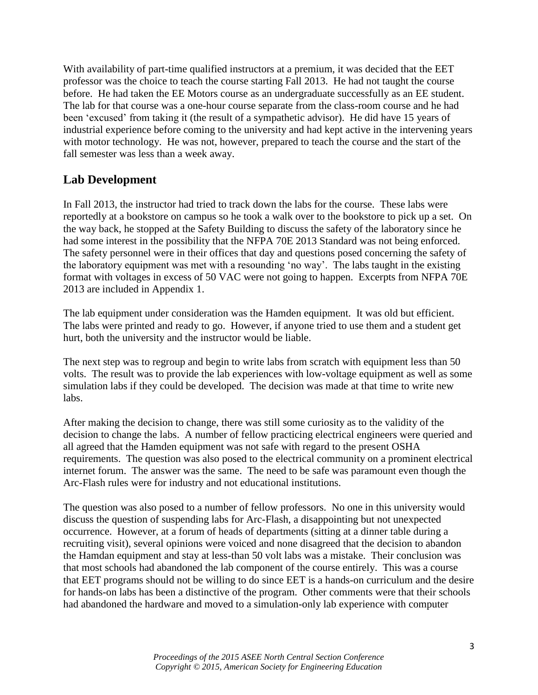With availability of part-time qualified instructors at a premium, it was decided that the EET professor was the choice to teach the course starting Fall 2013. He had not taught the course before. He had taken the EE Motors course as an undergraduate successfully as an EE student. The lab for that course was a one-hour course separate from the class-room course and he had been 'excused' from taking it (the result of a sympathetic advisor). He did have 15 years of industrial experience before coming to the university and had kept active in the intervening years with motor technology. He was not, however, prepared to teach the course and the start of the fall semester was less than a week away.

## **Lab Development**

In Fall 2013, the instructor had tried to track down the labs for the course. These labs were reportedly at a bookstore on campus so he took a walk over to the bookstore to pick up a set. On the way back, he stopped at the Safety Building to discuss the safety of the laboratory since he had some interest in the possibility that the NFPA 70E 2013 Standard was not being enforced. The safety personnel were in their offices that day and questions posed concerning the safety of the laboratory equipment was met with a resounding 'no way'. The labs taught in the existing format with voltages in excess of 50 VAC were not going to happen. Excerpts from NFPA 70E 2013 are included in Appendix 1.

The lab equipment under consideration was the Hamden equipment. It was old but efficient. The labs were printed and ready to go. However, if anyone tried to use them and a student get hurt, both the university and the instructor would be liable.

The next step was to regroup and begin to write labs from scratch with equipment less than 50 volts. The result was to provide the lab experiences with low-voltage equipment as well as some simulation labs if they could be developed. The decision was made at that time to write new labs.

After making the decision to change, there was still some curiosity as to the validity of the decision to change the labs. A number of fellow practicing electrical engineers were queried and all agreed that the Hamden equipment was not safe with regard to the present OSHA requirements. The question was also posed to the electrical community on a prominent electrical internet forum. The answer was the same. The need to be safe was paramount even though the Arc-Flash rules were for industry and not educational institutions.

The question was also posed to a number of fellow professors. No one in this university would discuss the question of suspending labs for Arc-Flash, a disappointing but not unexpected occurrence. However, at a forum of heads of departments (sitting at a dinner table during a recruiting visit), several opinions were voiced and none disagreed that the decision to abandon the Hamdan equipment and stay at less-than 50 volt labs was a mistake. Their conclusion was that most schools had abandoned the lab component of the course entirely. This was a course that EET programs should not be willing to do since EET is a hands-on curriculum and the desire for hands-on labs has been a distinctive of the program. Other comments were that their schools had abandoned the hardware and moved to a simulation-only lab experience with computer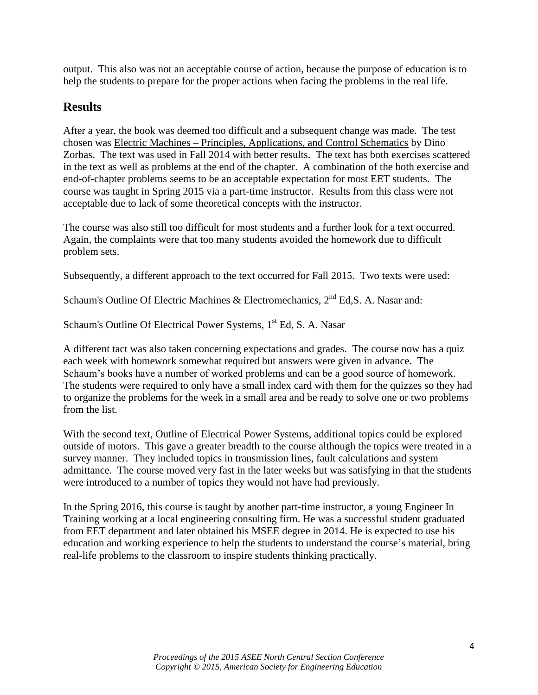output. This also was not an acceptable course of action, because the purpose of education is to help the students to prepare for the proper actions when facing the problems in the real life.

## **Results**

After a year, the book was deemed too difficult and a subsequent change was made. The test chosen was Electric Machines – Principles, Applications, and Control Schematics by Dino Zorbas. The text was used in Fall 2014 with better results. The text has both exercises scattered in the text as well as problems at the end of the chapter. A combination of the both exercise and end-of-chapter problems seems to be an acceptable expectation for most EET students. The course was taught in Spring 2015 via a part-time instructor. Results from this class were not acceptable due to lack of some theoretical concepts with the instructor.

The course was also still too difficult for most students and a further look for a text occurred. Again, the complaints were that too many students avoided the homework due to difficult problem sets.

Subsequently, a different approach to the text occurred for Fall 2015. Two texts were used:

Schaum's Outline Of Electric Machines & Electromechanics,  $2<sup>nd</sup> Ed$ , S. A. Nasar and:

Schaum's Outline Of Electrical Power Systems, 1<sup>st</sup> Ed, S. A. Nasar

A different tact was also taken concerning expectations and grades. The course now has a quiz each week with homework somewhat required but answers were given in advance. The Schaum's books have a number of worked problems and can be a good source of homework. The students were required to only have a small index card with them for the quizzes so they had to organize the problems for the week in a small area and be ready to solve one or two problems from the list.

With the second text, Outline of Electrical Power Systems, additional topics could be explored outside of motors. This gave a greater breadth to the course although the topics were treated in a survey manner. They included topics in transmission lines, fault calculations and system admittance. The course moved very fast in the later weeks but was satisfying in that the students were introduced to a number of topics they would not have had previously.

In the Spring 2016, this course is taught by another part-time instructor, a young Engineer In Training working at a local engineering consulting firm. He was a successful student graduated from EET department and later obtained his MSEE degree in 2014. He is expected to use his education and working experience to help the students to understand the course's material, bring real-life problems to the classroom to inspire students thinking practically.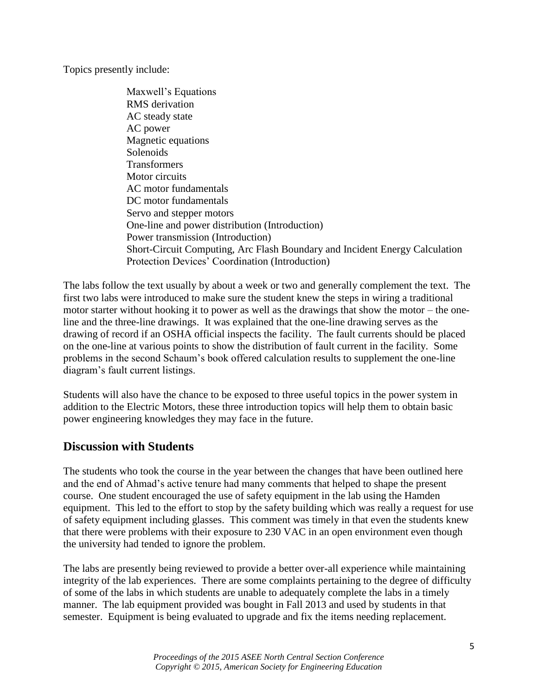Topics presently include:

Maxwell's Equations RMS derivation AC steady state AC power Magnetic equations Solenoids Transformers Motor circuits AC motor fundamentals DC motor fundamentals Servo and stepper motors One-line and power distribution (Introduction) Power transmission (Introduction) Short-Circuit Computing, Arc Flash Boundary and Incident Energy Calculation Protection Devices' Coordination (Introduction)

The labs follow the text usually by about a week or two and generally complement the text. The first two labs were introduced to make sure the student knew the steps in wiring a traditional motor starter without hooking it to power as well as the drawings that show the motor – the oneline and the three-line drawings. It was explained that the one-line drawing serves as the drawing of record if an OSHA official inspects the facility. The fault currents should be placed on the one-line at various points to show the distribution of fault current in the facility. Some problems in the second Schaum's book offered calculation results to supplement the one-line diagram's fault current listings.

Students will also have the chance to be exposed to three useful topics in the power system in addition to the Electric Motors, these three introduction topics will help them to obtain basic power engineering knowledges they may face in the future.

### **Discussion with Students**

The students who took the course in the year between the changes that have been outlined here and the end of Ahmad's active tenure had many comments that helped to shape the present course. One student encouraged the use of safety equipment in the lab using the Hamden equipment. This led to the effort to stop by the safety building which was really a request for use of safety equipment including glasses. This comment was timely in that even the students knew that there were problems with their exposure to 230 VAC in an open environment even though the university had tended to ignore the problem.

The labs are presently being reviewed to provide a better over-all experience while maintaining integrity of the lab experiences. There are some complaints pertaining to the degree of difficulty of some of the labs in which students are unable to adequately complete the labs in a timely manner. The lab equipment provided was bought in Fall 2013 and used by students in that semester. Equipment is being evaluated to upgrade and fix the items needing replacement.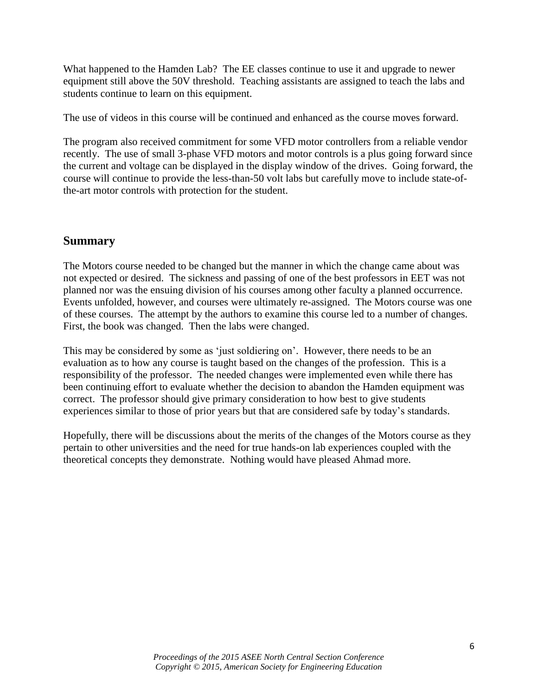What happened to the Hamden Lab? The EE classes continue to use it and upgrade to newer equipment still above the 50V threshold. Teaching assistants are assigned to teach the labs and students continue to learn on this equipment.

The use of videos in this course will be continued and enhanced as the course moves forward.

The program also received commitment for some VFD motor controllers from a reliable vendor recently. The use of small 3-phase VFD motors and motor controls is a plus going forward since the current and voltage can be displayed in the display window of the drives. Going forward, the course will continue to provide the less-than-50 volt labs but carefully move to include state-ofthe-art motor controls with protection for the student.

#### **Summary**

The Motors course needed to be changed but the manner in which the change came about was not expected or desired. The sickness and passing of one of the best professors in EET was not planned nor was the ensuing division of his courses among other faculty a planned occurrence. Events unfolded, however, and courses were ultimately re-assigned. The Motors course was one of these courses. The attempt by the authors to examine this course led to a number of changes. First, the book was changed. Then the labs were changed.

This may be considered by some as 'just soldiering on'. However, there needs to be an evaluation as to how any course is taught based on the changes of the profession. This is a responsibility of the professor. The needed changes were implemented even while there has been continuing effort to evaluate whether the decision to abandon the Hamden equipment was correct. The professor should give primary consideration to how best to give students experiences similar to those of prior years but that are considered safe by today's standards.

Hopefully, there will be discussions about the merits of the changes of the Motors course as they pertain to other universities and the need for true hands-on lab experiences coupled with the theoretical concepts they demonstrate. Nothing would have pleased Ahmad more.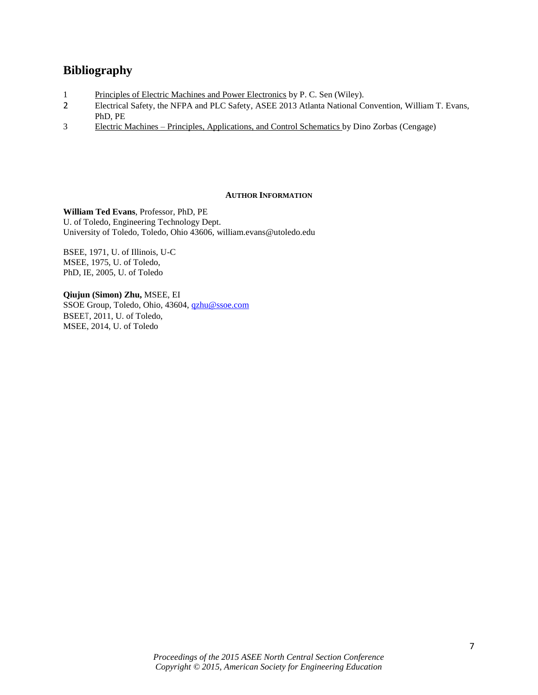## **Bibliography**

- 1 Principles of Electric Machines and Power Electronics by P. C. Sen (Wiley).
- 2 Electrical Safety, the NFPA and PLC Safety, ASEE 2013 Atlanta National Convention, William T. Evans, PhD, PE
- 3 Electric Machines Principles, Applications, and Control Schematics by Dino Zorbas (Cengage)

#### **AUTHOR INFORMATION**

**William Ted Evans**, Professor, PhD, PE U. of Toledo, Engineering Technology Dept. University of Toledo, Toledo, Ohio 43606, william.evans@utoledo.edu

BSEE, 1971, U. of Illinois, U-C MSEE, 1975, U. of Toledo, PhD, IE, 2005, U. of Toledo

**Qiujun (Simon) Zhu,** MSEE, EI SSOE Group, Toledo, Ohio, 43604, [qzhu@ssoe.com](mailto:qzhu@ssoe.com) BSEET, 2011, U. of Toledo, MSEE, 2014, U. of Toledo